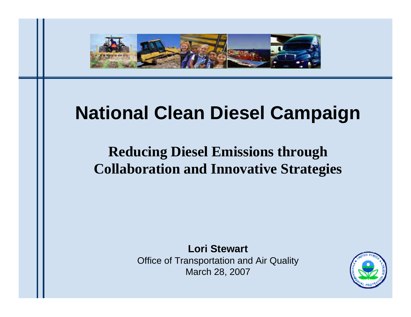

## **National Clean Diesel Campaign**

## **Reducing Diesel Emissions through Collaboration and Innovative Strategies**

**Lori Stewart**

Office of Transportation and Air Quality March 28, 2007

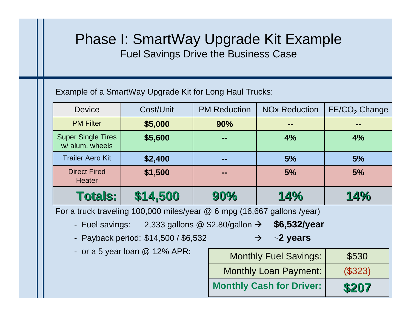## Phase I: SmartWay Upgrade Kit Example Fuel Savings Drive the Business Case

Example of a SmartWay Upgrade Kit for Long Haul Trucks:

| <b>Device</b>                                | Cost/Unit | <b>PM Reduction</b> | <b>NO<sub>x</sub></b> Reduction | FE/CO <sub>2</sub> Change |
|----------------------------------------------|-----------|---------------------|---------------------------------|---------------------------|
| <b>PM Filter</b>                             | \$5,000   | 90%                 | --                              | --                        |
| <b>Super Single Tires</b><br>w/ alum. wheels | \$5,600   | --                  | 4%                              | 4%                        |
| <b>Trailer Aero Kit</b>                      | \$2,400   | --                  | 5%                              | 5%                        |
| <b>Direct Fired</b><br><b>Heater</b>         | \$1,500   | --                  | 5%                              | 5%                        |
| <b>Totals:</b>                               | \$14,500  | 90%                 | 14%                             | 14%                       |

For a truck traveling 100,000 miles/year @ 6 mpg (16,667 gallons /year)

- Fuel savings: 2,333 gallons @ \$2.80/gallon <sup>Æ</sup> **\$6,532/year**
- Payback period: \$14,500 / \$6,532  $\rightarrow$  ~2 years
- or a 5 year loan @ 12% APR:

| <b>Monthly Fuel Savings:</b>    | \$530   |
|---------------------------------|---------|
| <b>Monthly Loan Payment:</b>    | (\$323) |
| <b>Monthly Cash for Driver:</b> | \$207   |